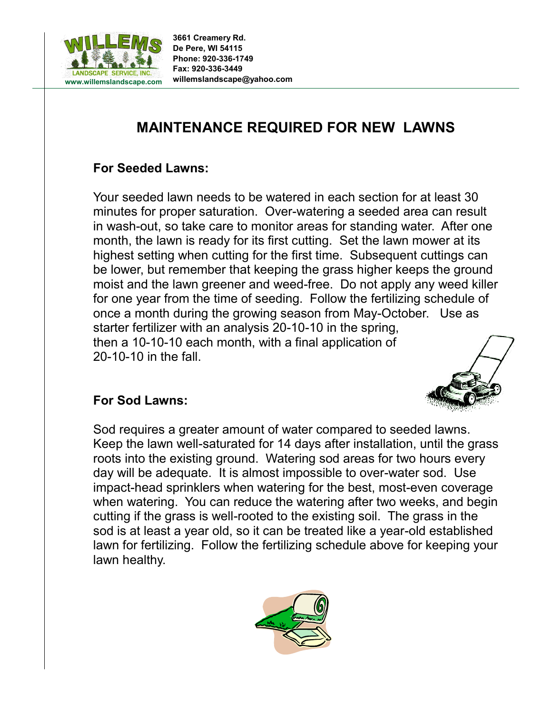

# **MAINTENANCE REQUIRED FOR NEW LAWNS**

## **For Seeded Lawns:**

Your seeded lawn needs to be watered in each section for at least 30 minutes for proper saturation. Over-watering a seeded area can result in wash-out, so take care to monitor areas for standing water. After one month, the lawn is ready for its first cutting. Set the lawn mower at its highest setting when cutting for the first time. Subsequent cuttings can be lower, but remember that keeping the grass higher keeps the ground moist and the lawn greener and weed-free. Do not apply any weed killer for one year from the time of seeding. Follow the fertilizing schedule of once a month during the growing season from May-October. Use as starter fertilizer with an analysis 20-10-10 in the spring, then a 10-10-10 each month, with a final application of 20-10-10 in the fall.

### **For Sod Lawns:**

Sod requires a greater amount of water compared to seeded lawns. Keep the lawn well-saturated for 14 days after installation, until the grass roots into the existing ground. Watering sod areas for two hours every day will be adequate. It is almost impossible to over-water sod. Use impact-head sprinklers when watering for the best, most-even coverage when watering. You can reduce the watering after two weeks, and begin cutting if the grass is well-rooted to the existing soil. The grass in the sod is at least a year old, so it can be treated like a year-old established lawn for fertilizing. Follow the fertilizing schedule above for keeping your lawn healthy.